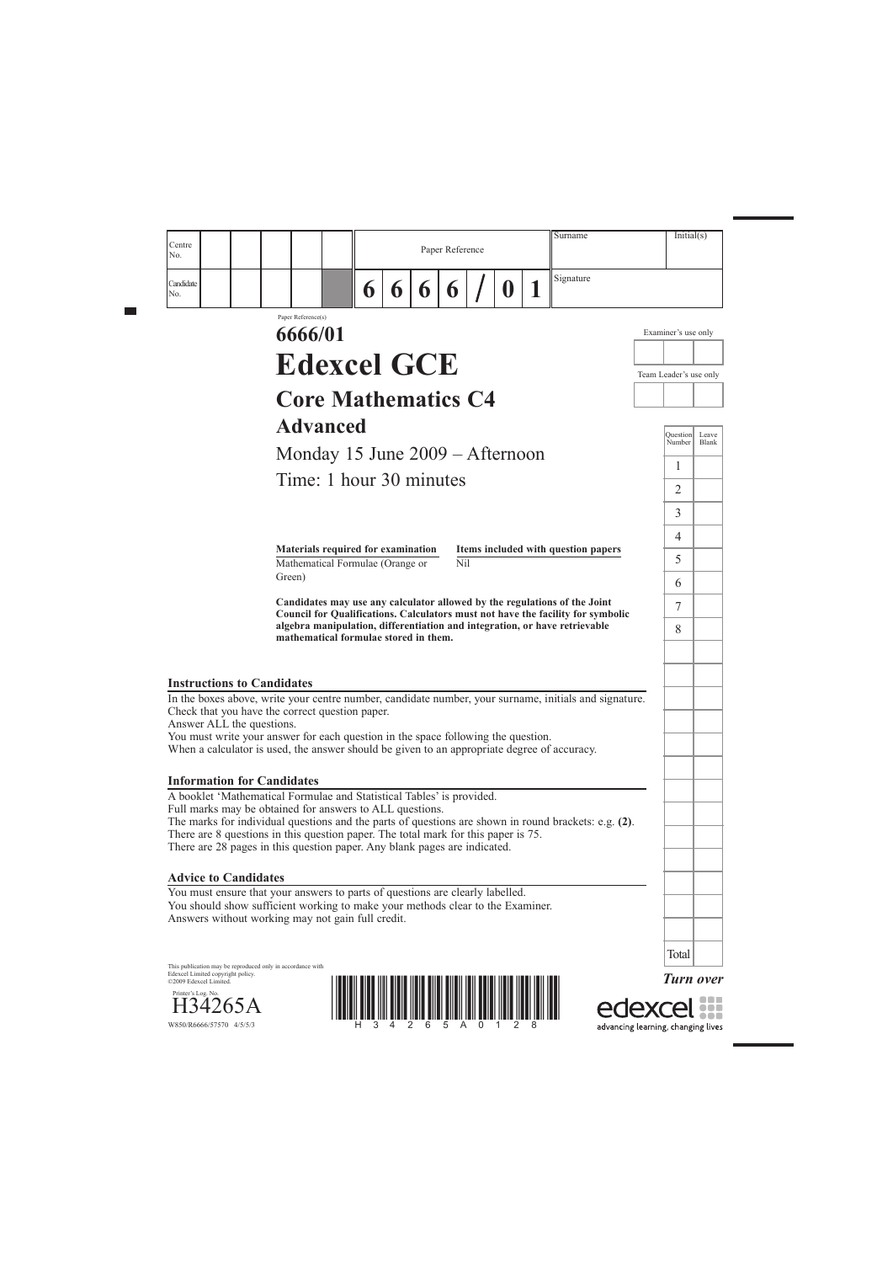*Turn over*

edexcel ::: advancing learning, changing lives





This publication may be reproduced only in accordance with Edexcel Limited copyright policy. ©2009 Edexcel Limited.

Printer's Log. No.

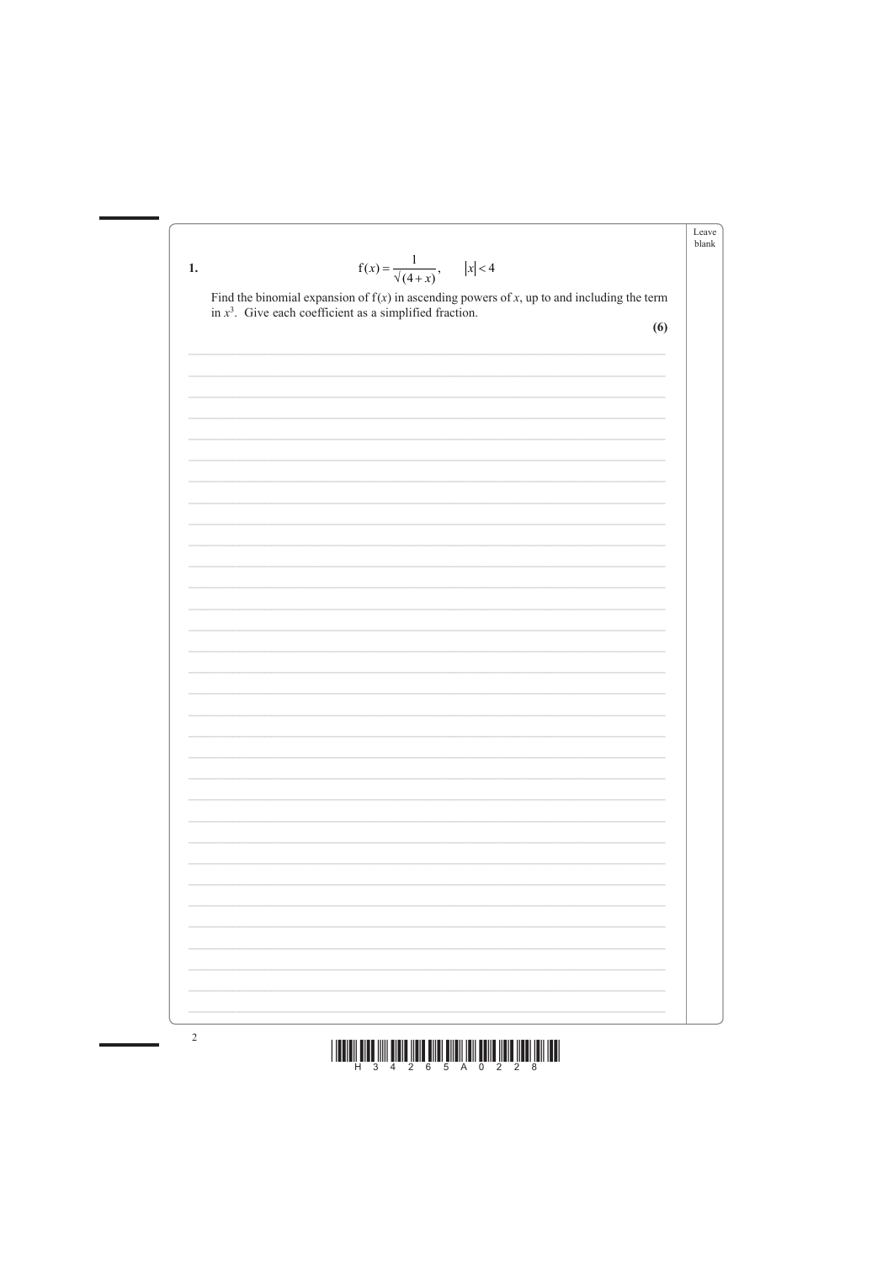





 $\overline{2}$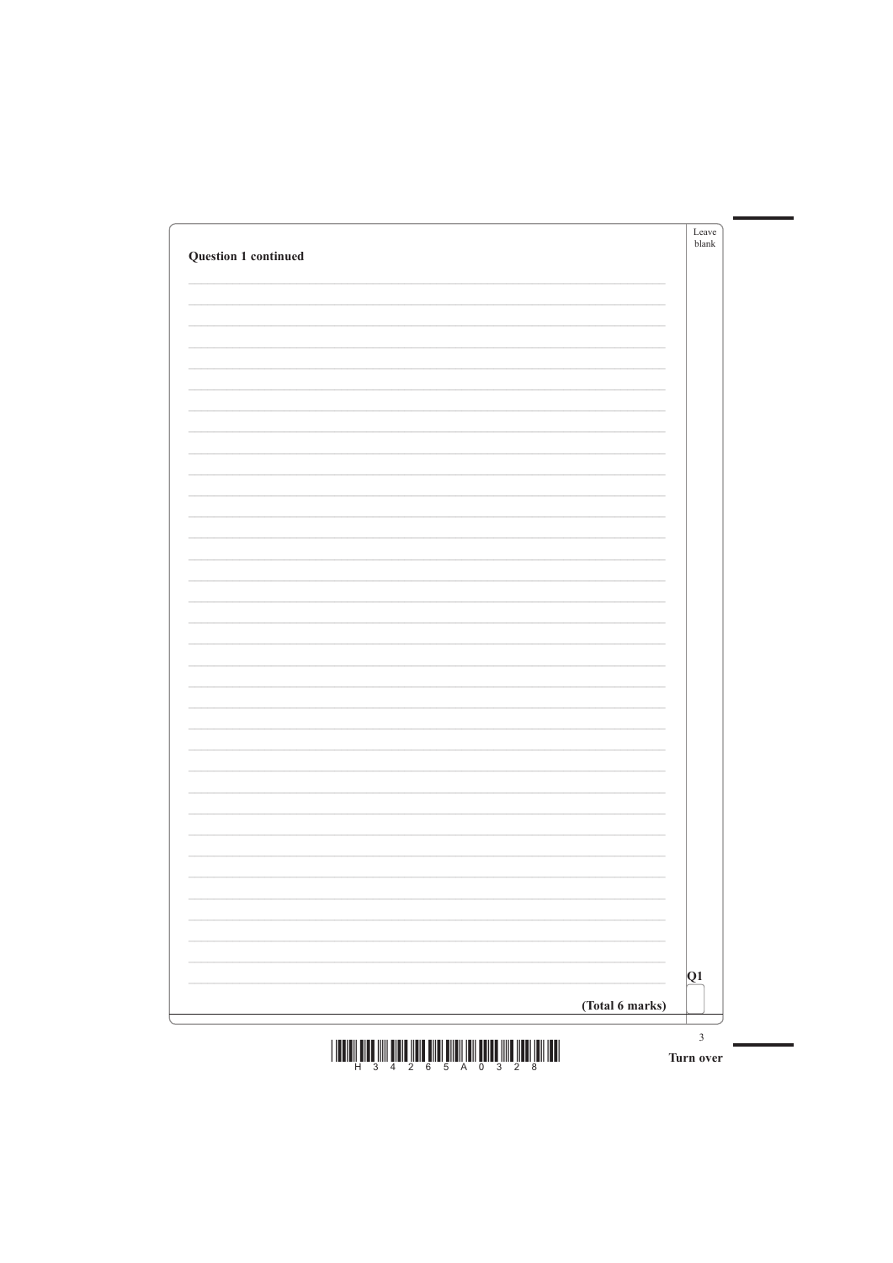| Question 1 continued | Leave<br>blank |
|----------------------|----------------|
|                      |                |
|                      |                |
|                      |                |
|                      |                |
|                      |                |
|                      |                |
|                      |                |
|                      |                |
|                      |                |
|                      |                |
|                      |                |
|                      |                |
|                      |                |
|                      |                |
|                      |                |
|                      |                |
|                      |                |
|                      |                |
|                      |                |
|                      |                |
|                      |                |
|                      |                |

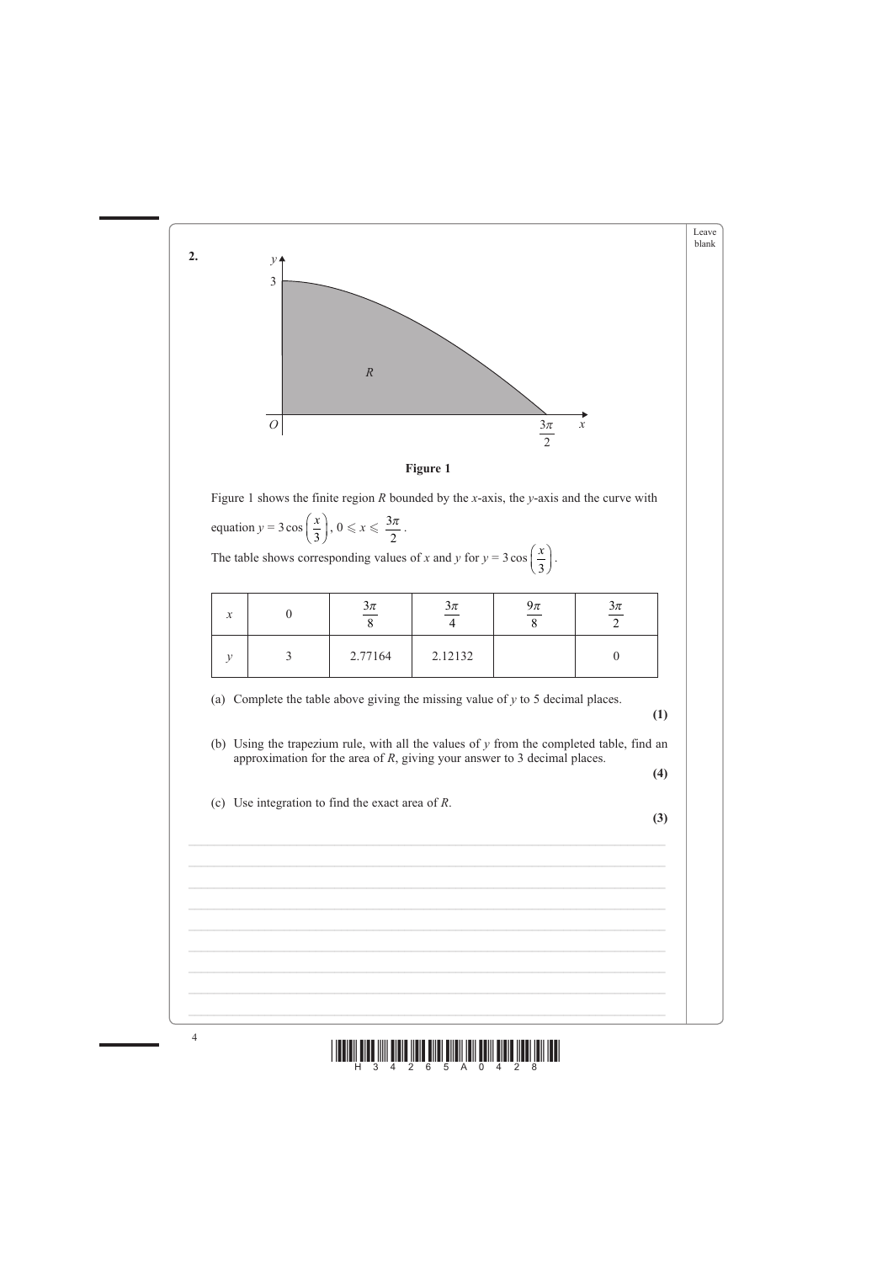



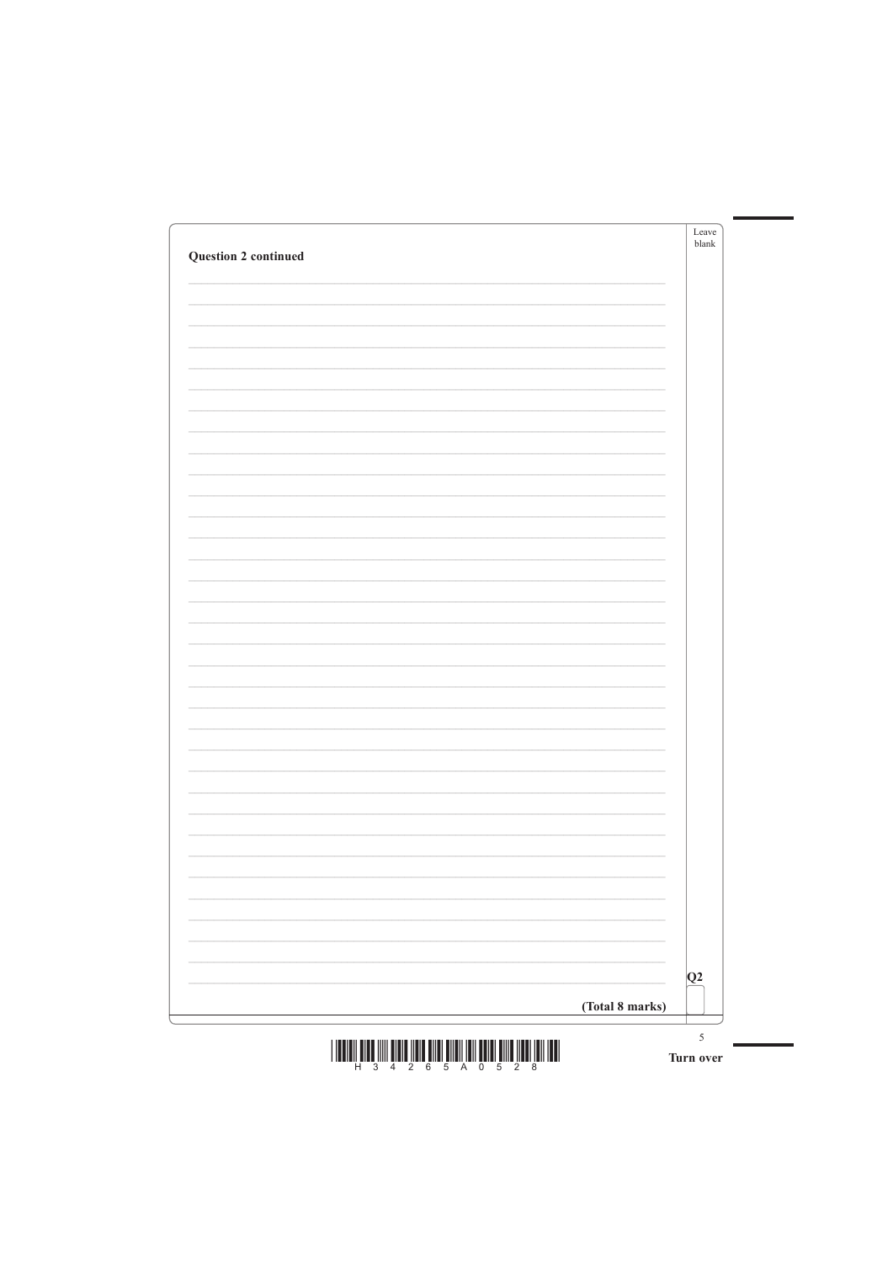| <b>Question 2 continued</b> | Leave<br>blank |
|-----------------------------|----------------|
|                             |                |
|                             |                |
|                             |                |
|                             |                |
|                             |                |
|                             |                |
|                             |                |
|                             |                |
|                             |                |
|                             |                |
|                             |                |
|                             |                |
|                             |                |
|                             |                |
|                             |                |
|                             |                |
|                             |                |
|                             |                |
|                             |                |
|                             |                |
|                             |                |



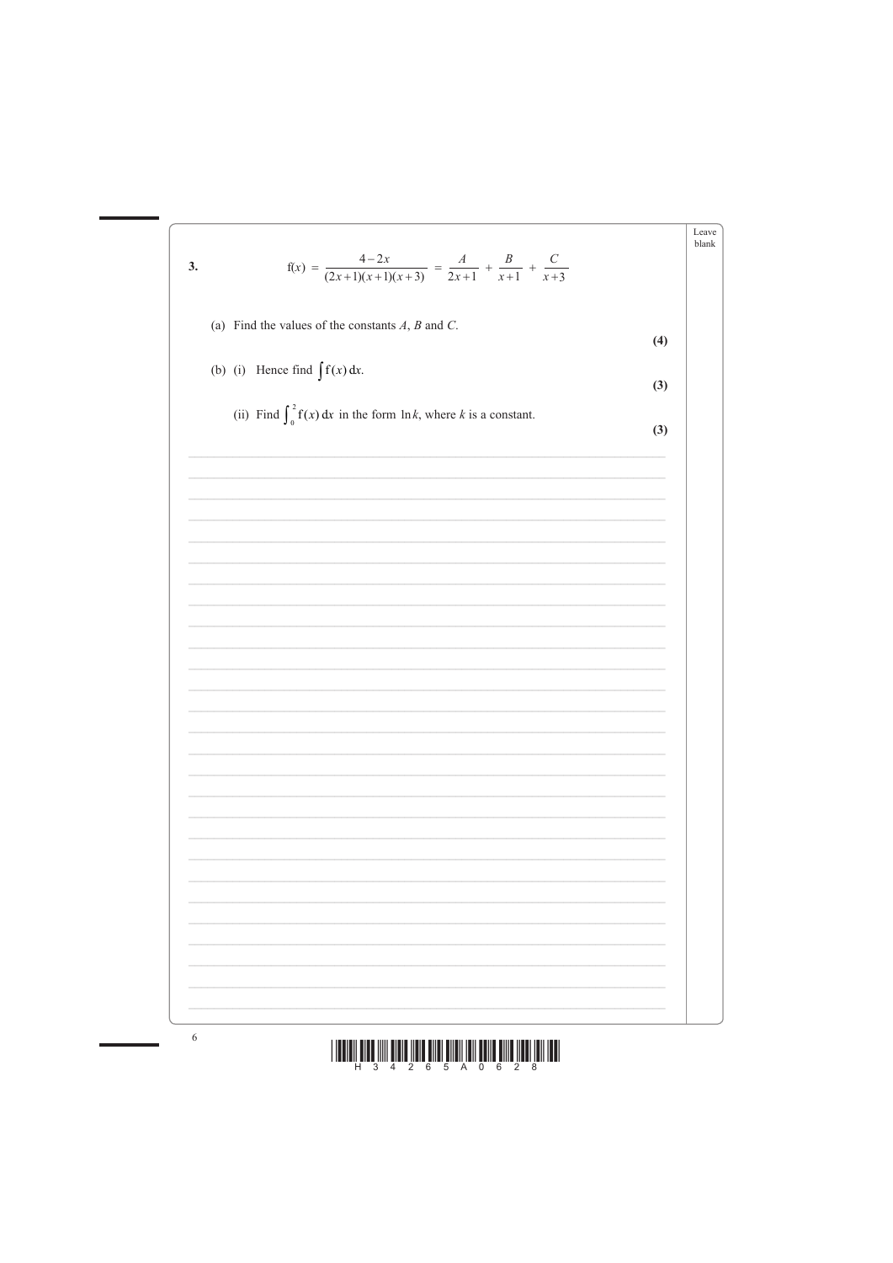



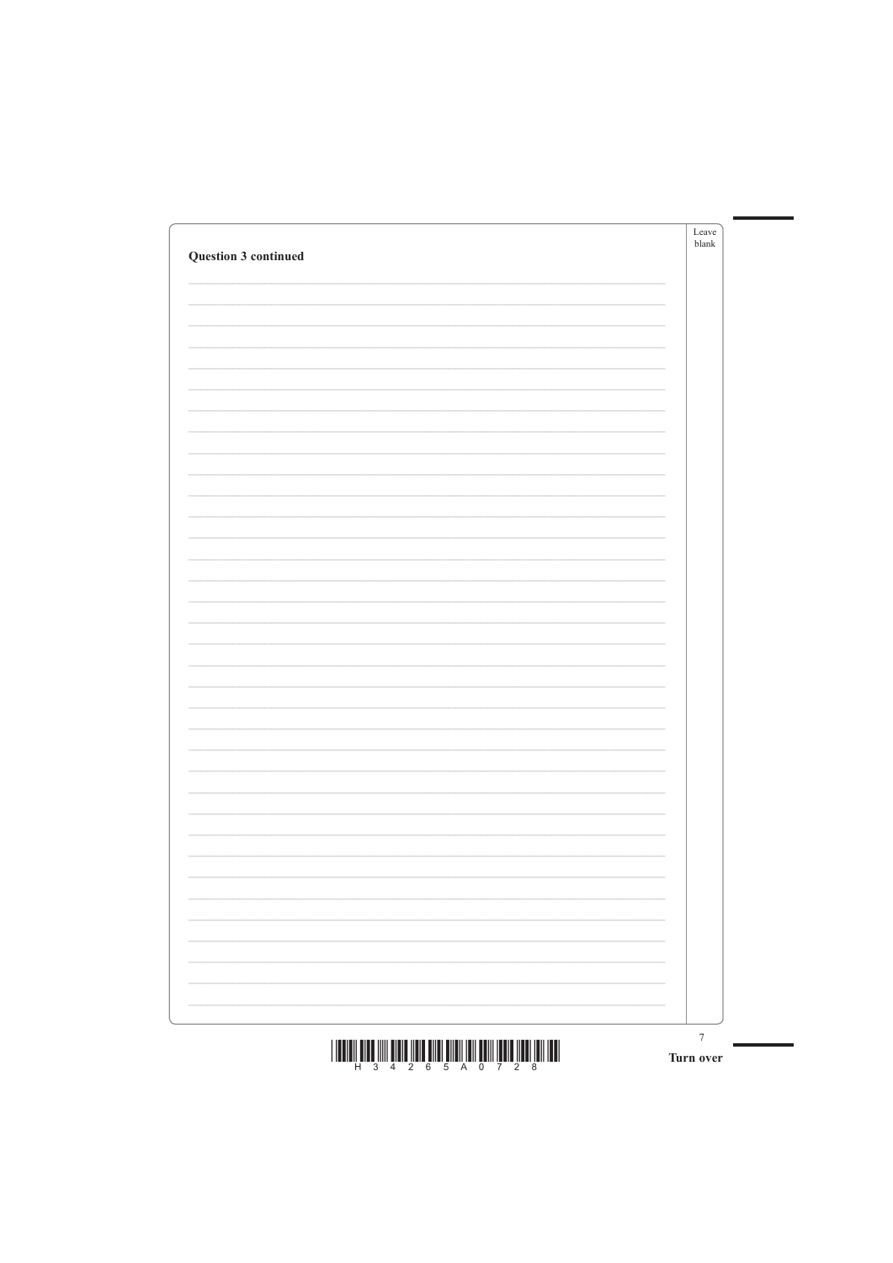| Question 3 continued | Leave<br>blank |
|----------------------|----------------|
|                      |                |
|                      |                |
|                      |                |
|                      |                |
|                      |                |
|                      |                |
|                      |                |
|                      |                |
|                      |                |
|                      |                |
|                      |                |
|                      |                |
|                      |                |
|                      |                |
|                      |                |
|                      |                |
|                      |                |
|                      |                |
|                      |                |
|                      |                |
|                      |                |



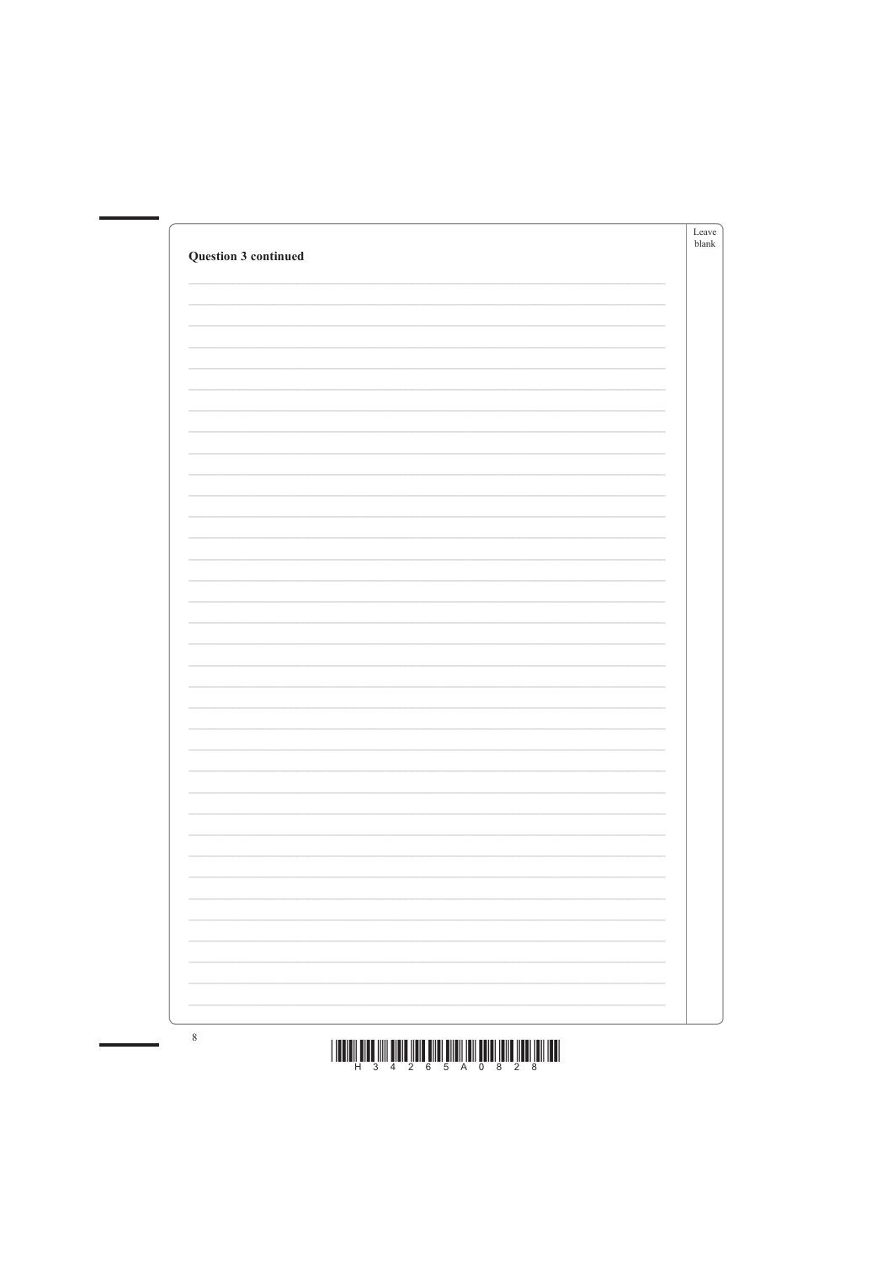| <b>Question 3 continued</b> | Leave<br>blank |
|-----------------------------|----------------|
|                             |                |
|                             |                |
|                             |                |
|                             |                |
|                             |                |
|                             |                |
|                             |                |
|                             |                |
|                             |                |
|                             |                |
|                             |                |
|                             |                |
|                             |                |
|                             |                |
|                             |                |
|                             |                |
|                             |                |
|                             |                |
|                             |                |
|                             |                |
|                             |                |





 $8\phantom{.0}$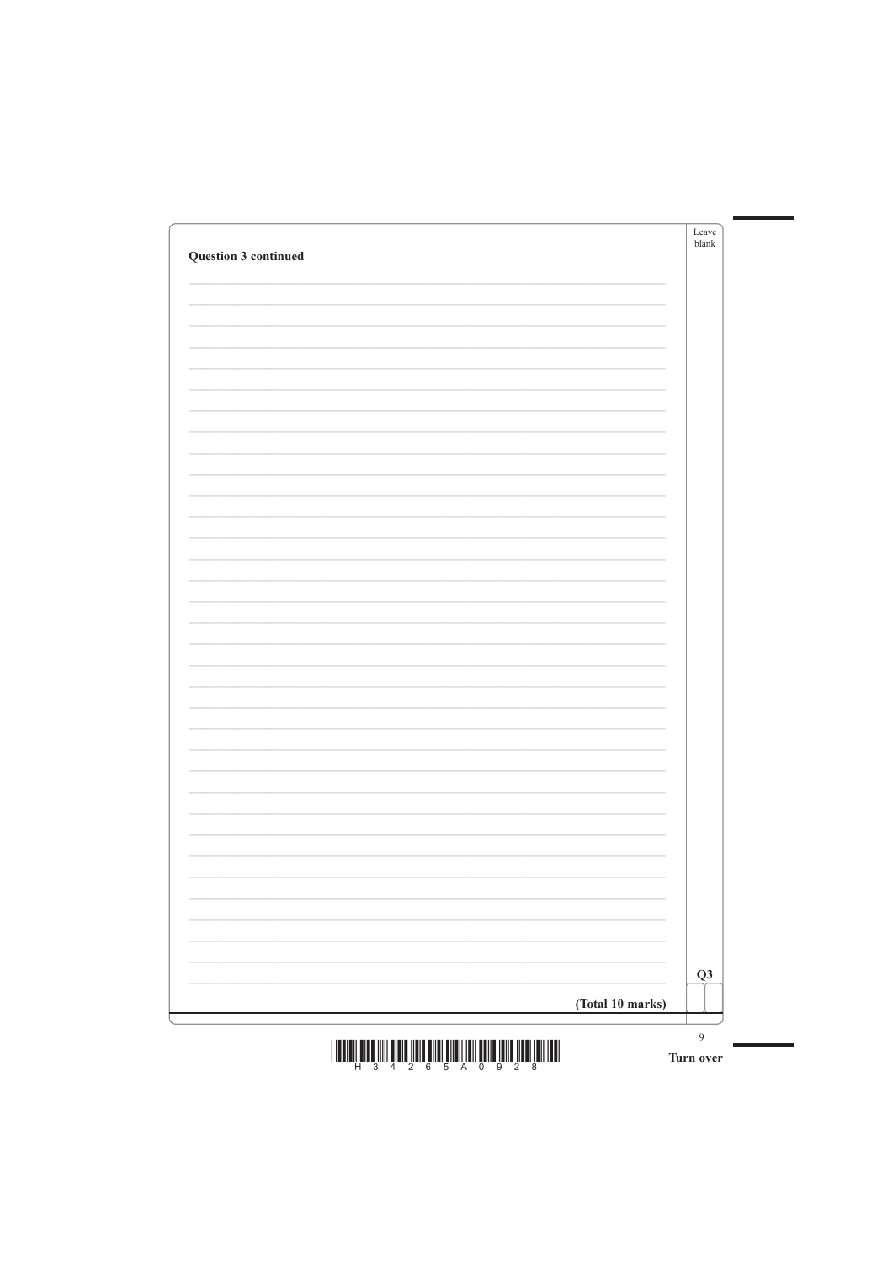| Question 3 continued | Leave<br>blank |
|----------------------|----------------|
|                      |                |
|                      |                |
|                      |                |
|                      |                |
|                      |                |
|                      |                |
|                      |                |
|                      |                |
|                      |                |
|                      |                |
|                      |                |
|                      |                |
|                      |                |
|                      |                |
|                      |                |
|                      |                |
|                      |                |
|                      |                |
|                      |                |
|                      |                |
|                      |                |



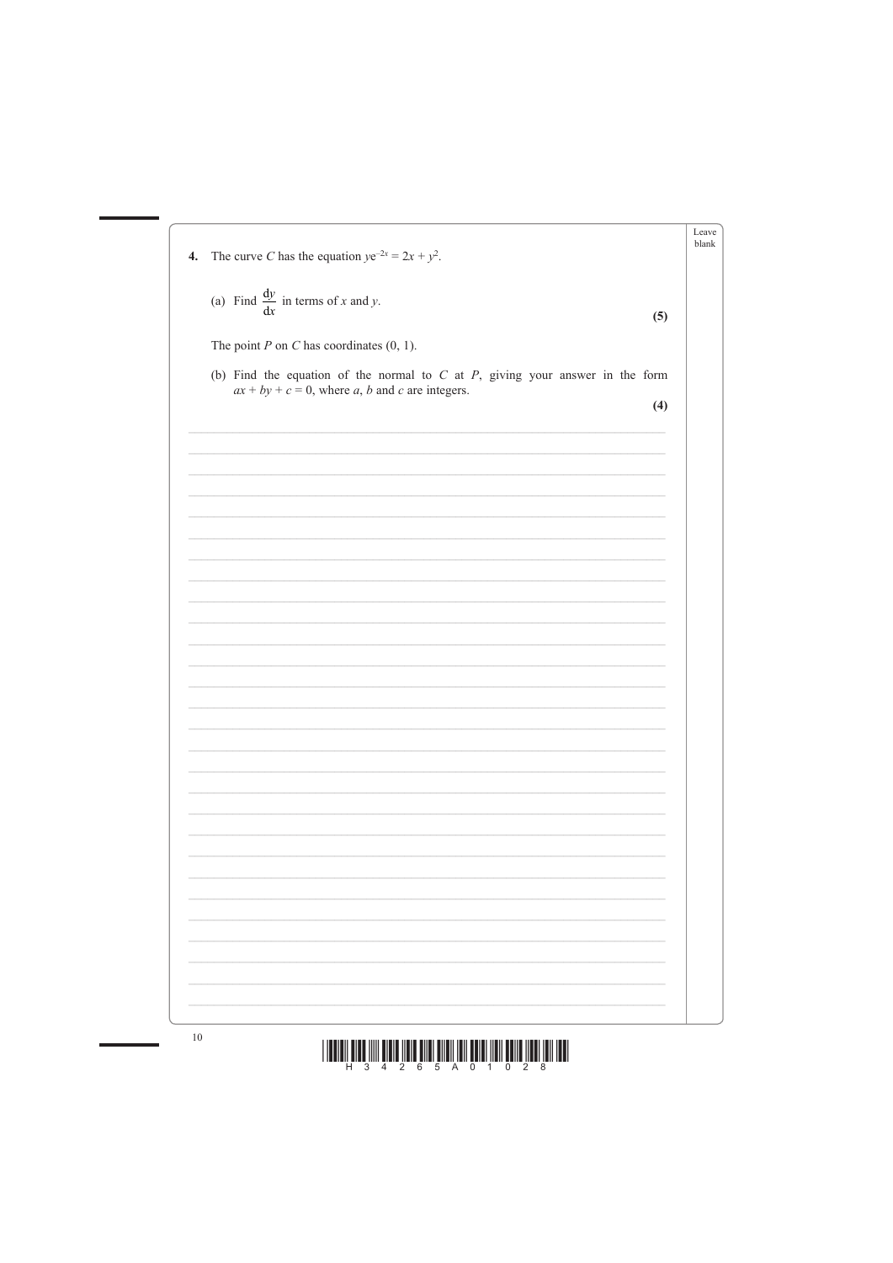| $\mathbf{4}$ . | The curve C has the equation $ye^{-2x} = 2x + y^2$ .                                                                                     |
|----------------|------------------------------------------------------------------------------------------------------------------------------------------|
|                |                                                                                                                                          |
|                | (a) Find $\frac{dy}{dx}$ in terms of x and y.<br>(5)                                                                                     |
|                | The point $P$ on $C$ has coordinates $(0, 1)$ .                                                                                          |
|                |                                                                                                                                          |
|                | (b) Find the equation of the normal to $C$ at $P$ , giving your answer in the form<br>$ax + by + c = 0$ , where a, b and c are integers. |
|                | (4)                                                                                                                                      |
|                |                                                                                                                                          |
|                |                                                                                                                                          |
|                |                                                                                                                                          |
|                |                                                                                                                                          |
|                |                                                                                                                                          |
|                |                                                                                                                                          |
|                |                                                                                                                                          |
|                |                                                                                                                                          |
|                |                                                                                                                                          |
|                |                                                                                                                                          |
|                |                                                                                                                                          |
|                |                                                                                                                                          |
|                |                                                                                                                                          |
|                |                                                                                                                                          |
|                |                                                                                                                                          |
|                |                                                                                                                                          |
|                |                                                                                                                                          |
|                |                                                                                                                                          |
|                |                                                                                                                                          |
|                |                                                                                                                                          |
|                |                                                                                                                                          |
|                |                                                                                                                                          |



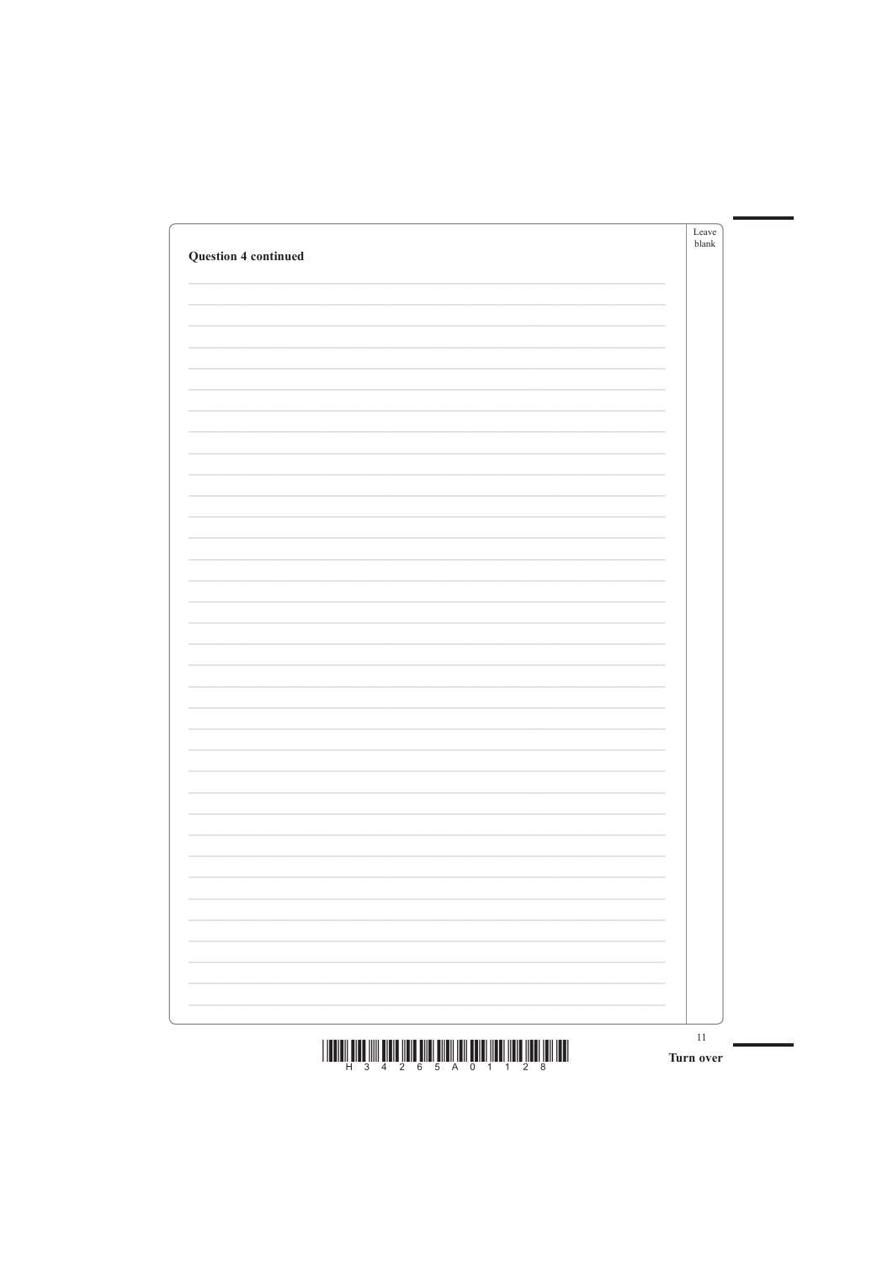| <b>Question 4 continued</b> |   | Leave<br>blank |
|-----------------------------|---|----------------|
|                             |   |                |
|                             |   |                |
|                             |   |                |
|                             |   |                |
|                             |   |                |
|                             |   |                |
|                             |   |                |
|                             |   |                |
|                             |   |                |
|                             |   |                |
|                             |   |                |
|                             |   |                |
|                             |   |                |
|                             |   |                |
|                             |   |                |
|                             |   |                |
|                             |   |                |
|                             |   |                |
|                             | - |                |
|                             |   |                |





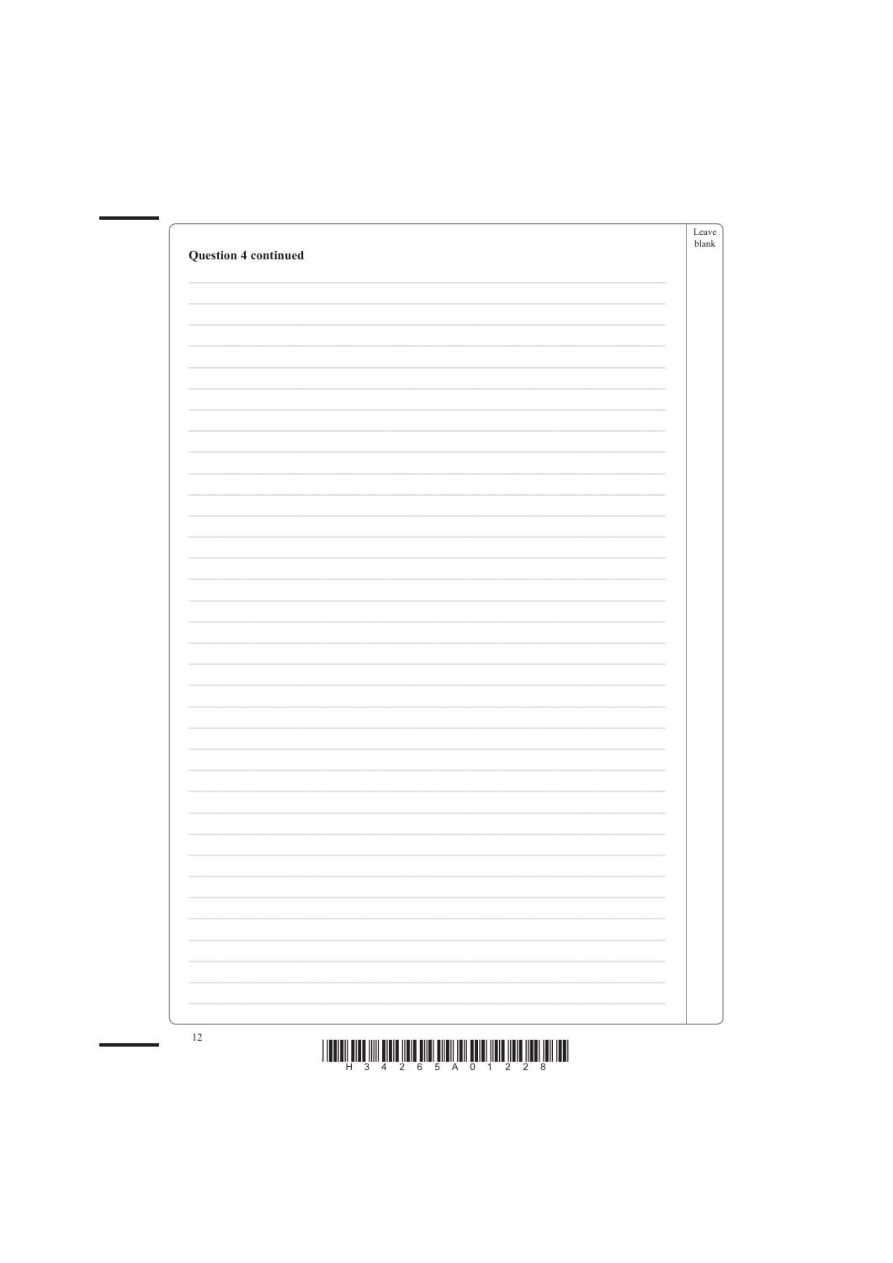| <b>Question 4 continued</b> | Leave<br>$b$ lank |
|-----------------------------|-------------------|
|                             |                   |
|                             |                   |
|                             |                   |
|                             |                   |
|                             |                   |
|                             |                   |
|                             |                   |
|                             |                   |
|                             |                   |
|                             |                   |
|                             |                   |
|                             |                   |
|                             |                   |
|                             |                   |
|                             |                   |
|                             |                   |
|                             |                   |
|                             |                   |



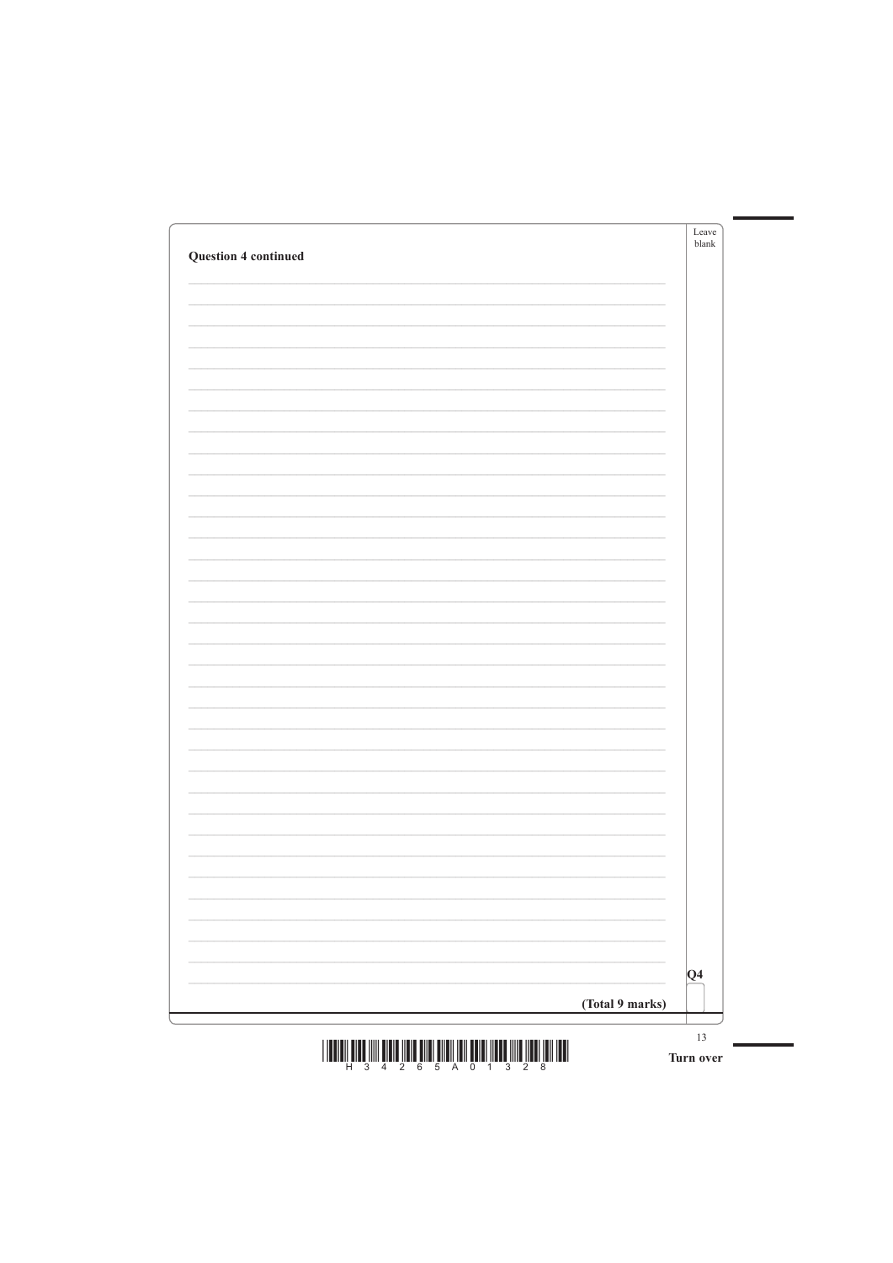| <b>Question 4 continued</b> |   | Leave<br>blank |
|-----------------------------|---|----------------|
|                             |   |                |
|                             |   |                |
|                             |   |                |
|                             |   |                |
|                             |   |                |
|                             |   |                |
|                             |   |                |
|                             |   |                |
|                             |   |                |
|                             |   |                |
|                             |   |                |
|                             |   |                |
|                             |   |                |
|                             |   |                |
|                             |   |                |
|                             |   |                |
|                             |   |                |
|                             |   |                |
|                             | - |                |
|                             |   |                |

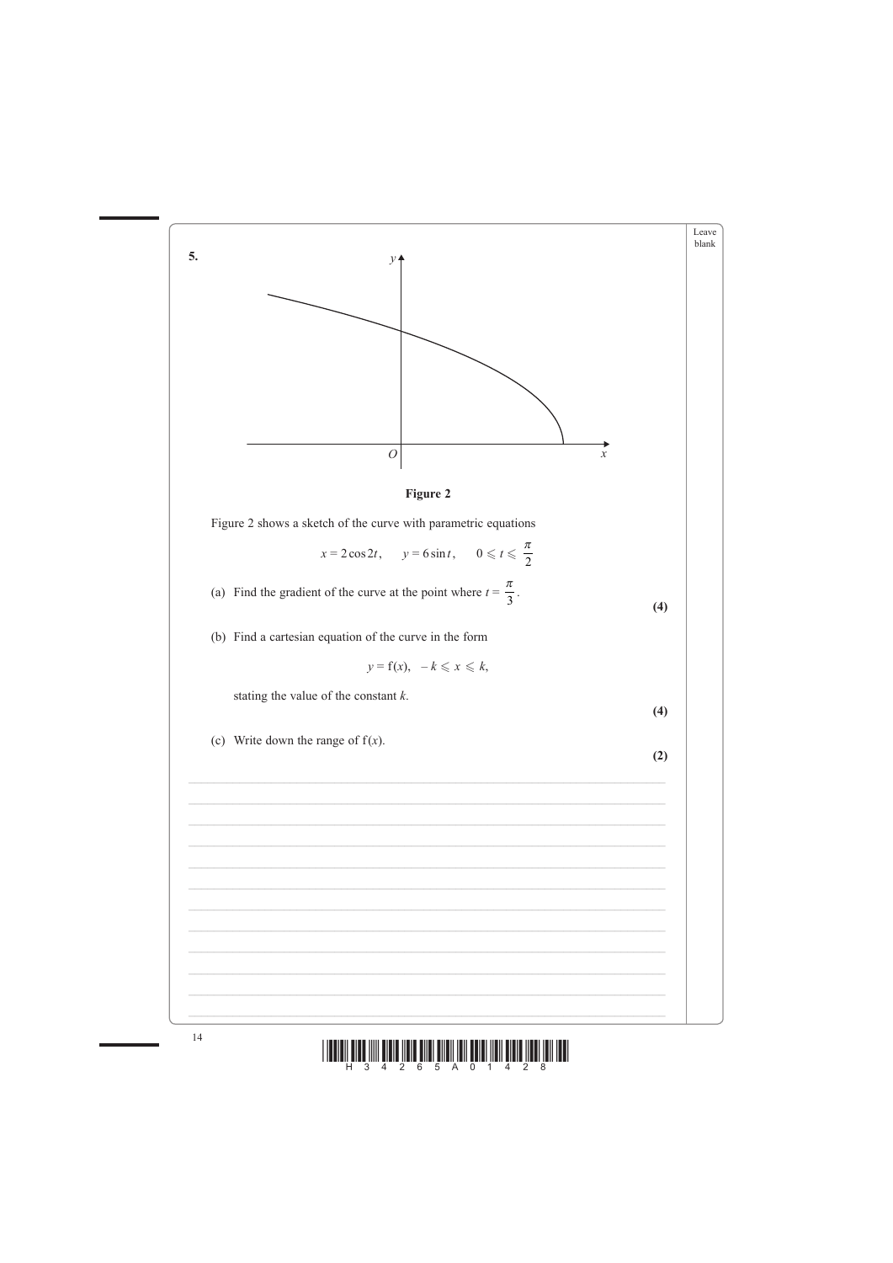



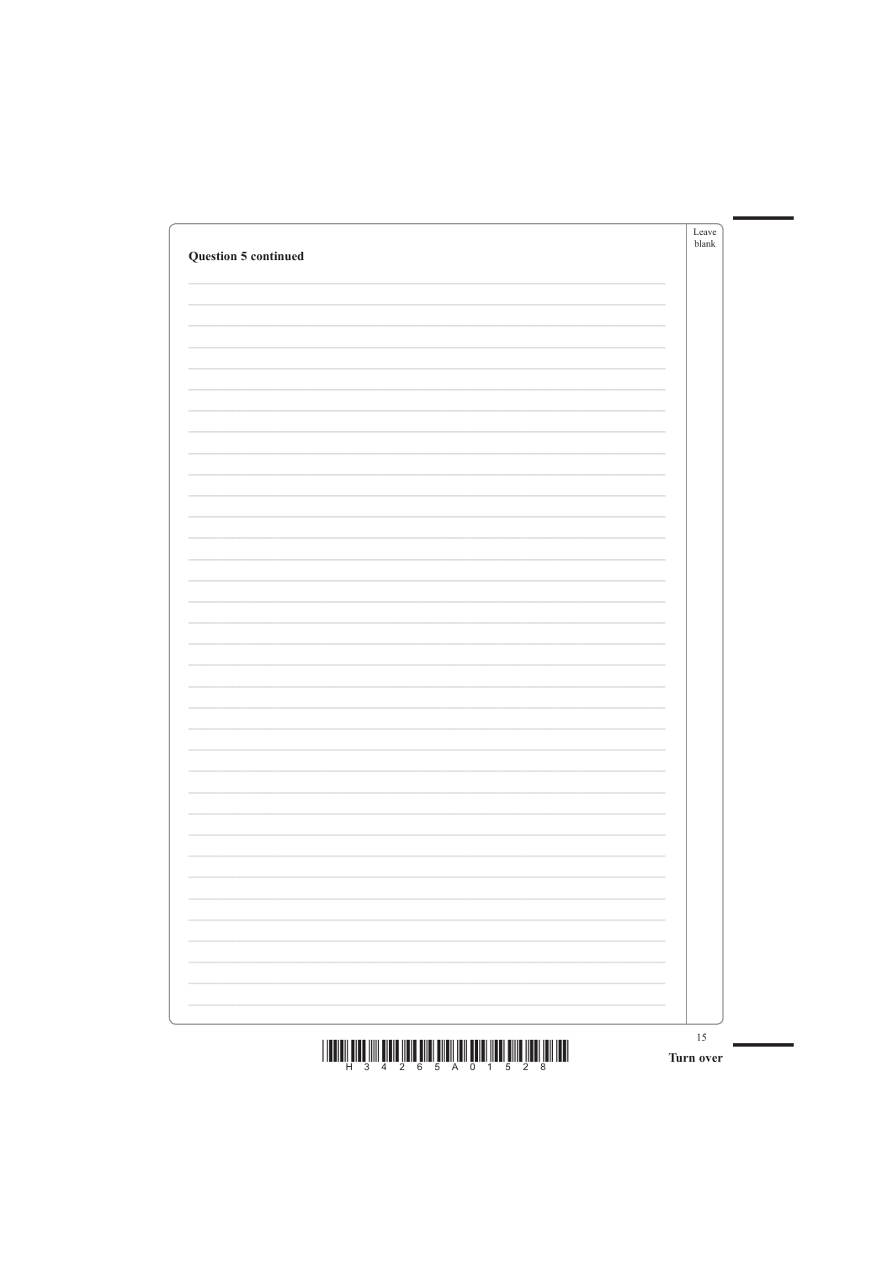| <b>Question 5 continued</b> | Leave<br>blank |
|-----------------------------|----------------|
|                             |                |
|                             |                |
|                             |                |
|                             |                |
|                             |                |
|                             |                |
|                             |                |
|                             |                |
|                             |                |
|                             |                |
|                             |                |
|                             |                |
|                             |                |
|                             |                |
|                             |                |
|                             |                |
|                             |                |
|                             |                |
|                             |                |
|                             |                |
|                             |                |
|                             |                |

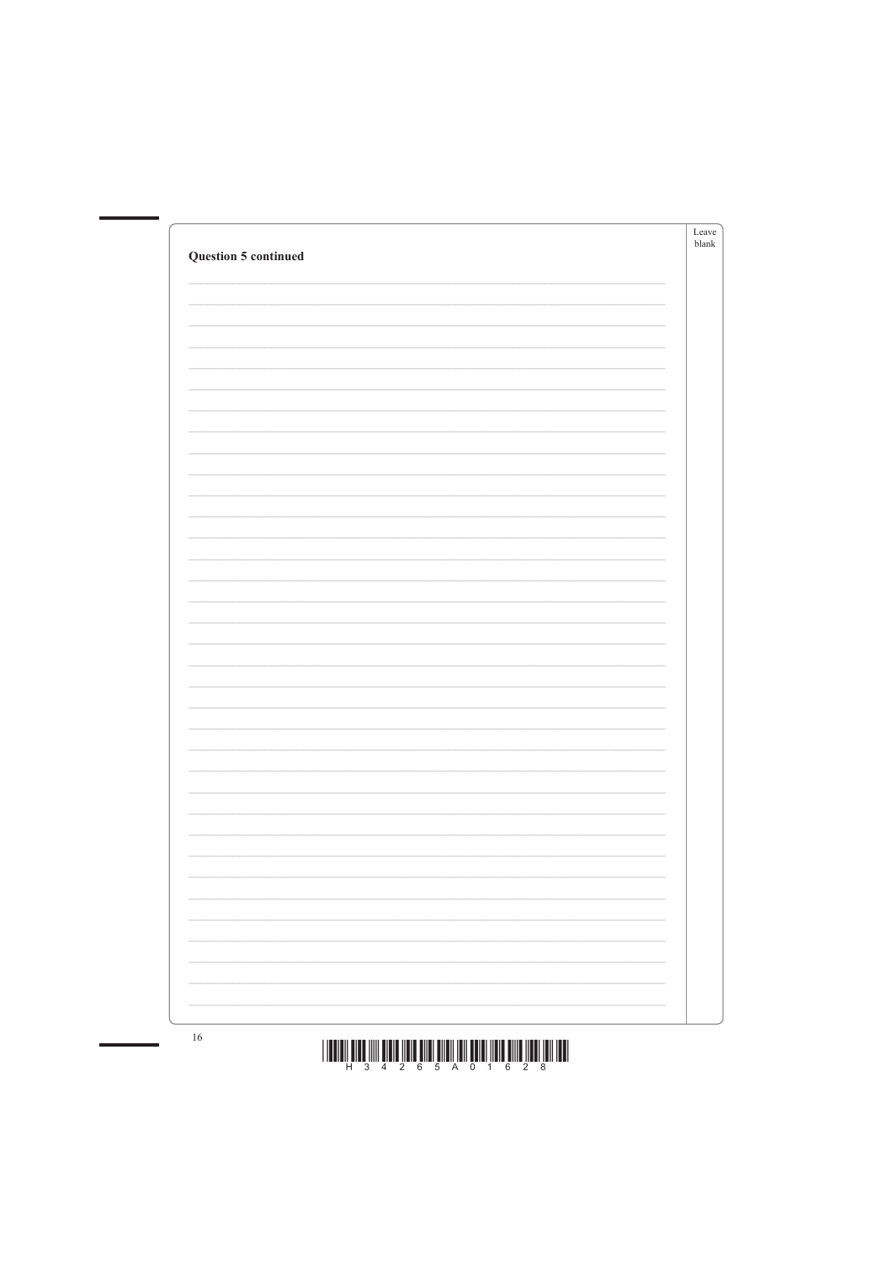| <b>Question 5 continued</b> | Leave<br>blank |
|-----------------------------|----------------|
|                             |                |
|                             |                |
|                             |                |
|                             |                |
|                             |                |
|                             |                |
|                             |                |
|                             |                |
|                             |                |
|                             |                |
|                             |                |
|                             |                |
|                             |                |
|                             |                |
|                             |                |
|                             |                |
|                             |                |
|                             |                |
|                             |                |
|                             |                |
|                             |                |
|                             |                |



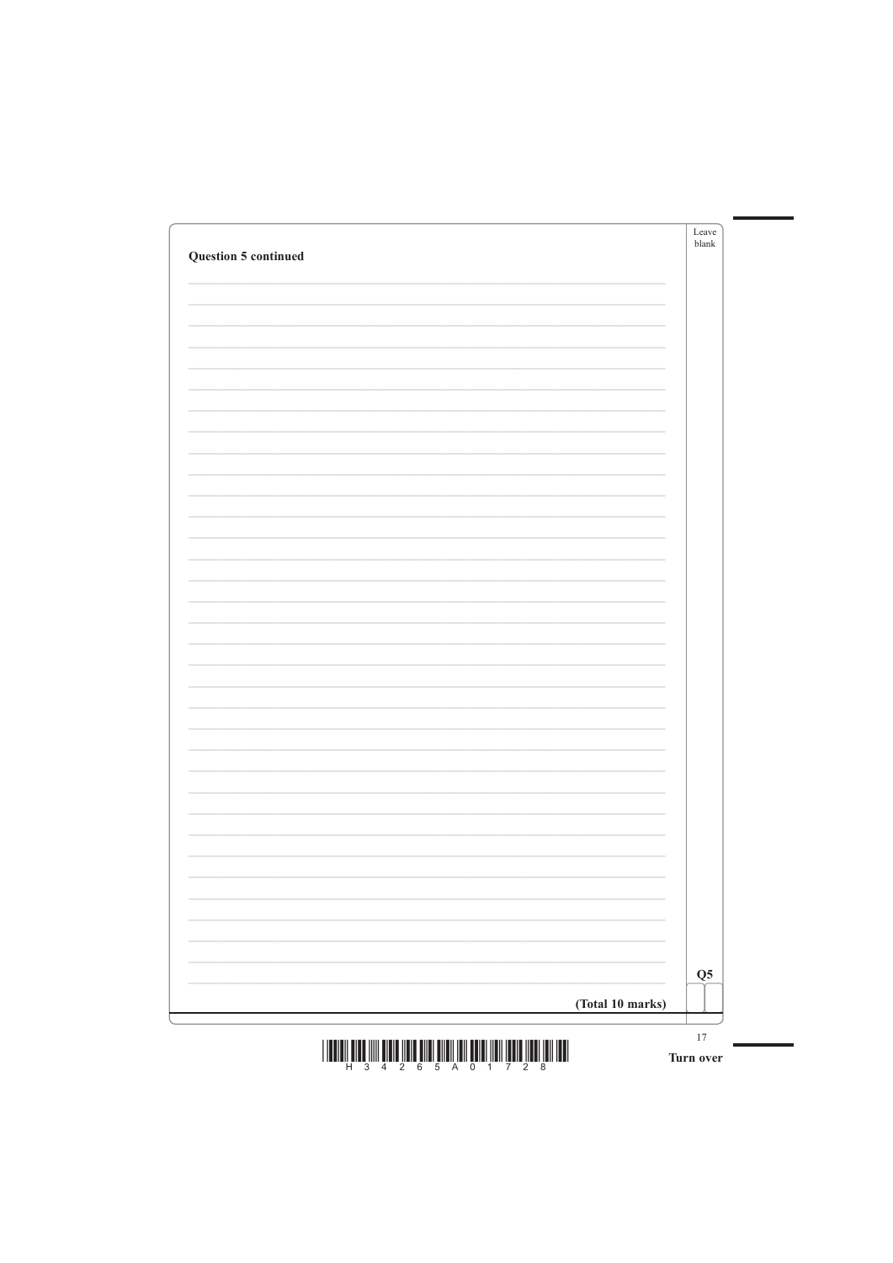| <b>Question 5 continued</b> | Leave<br>blank |
|-----------------------------|----------------|
|                             |                |
|                             |                |
|                             |                |
|                             |                |
|                             |                |
|                             |                |
|                             |                |
|                             |                |
|                             |                |
|                             |                |
|                             |                |
|                             |                |
|                             |                |
|                             |                |
|                             |                |
|                             |                |
|                             |                |
|                             |                |
|                             |                |
|                             |                |
|                             |                |
|                             |                |



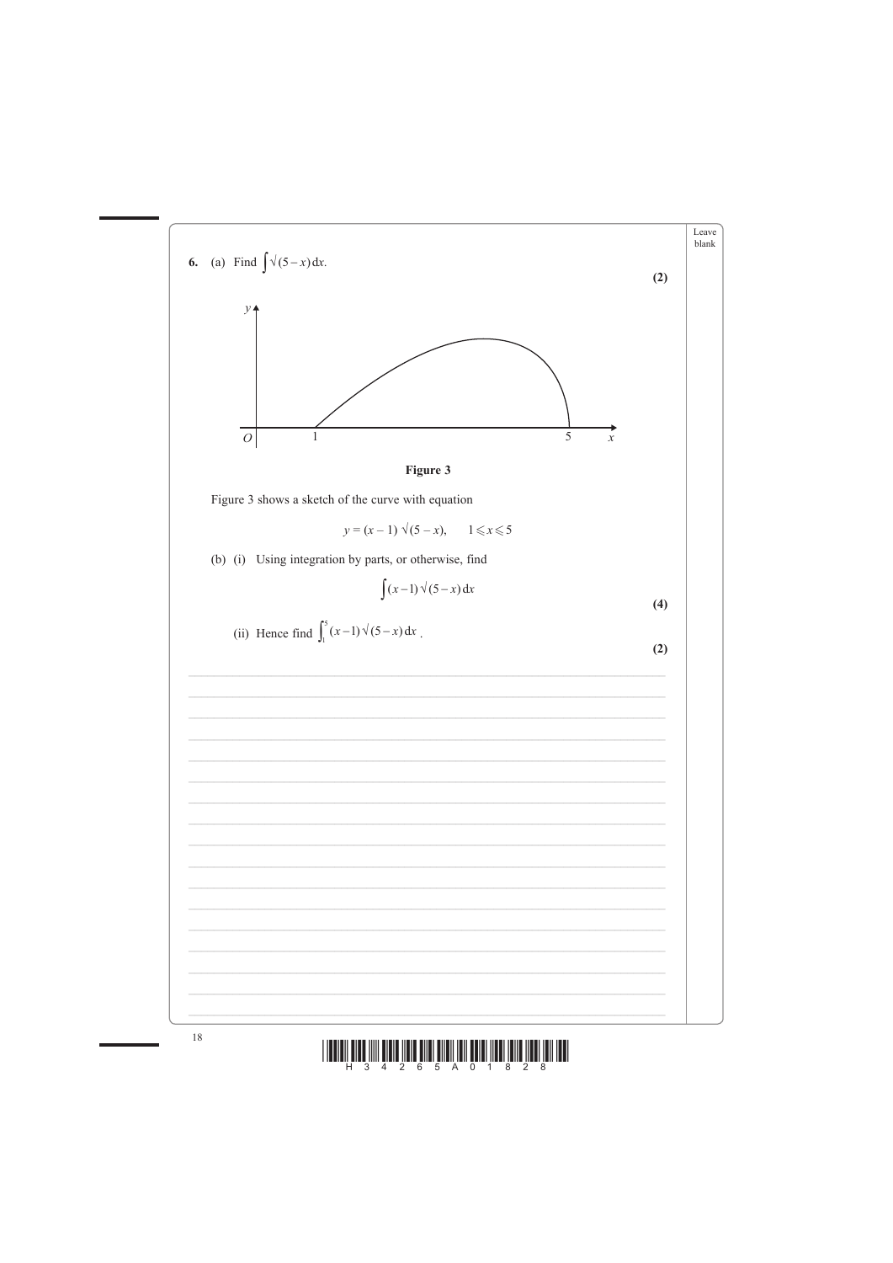



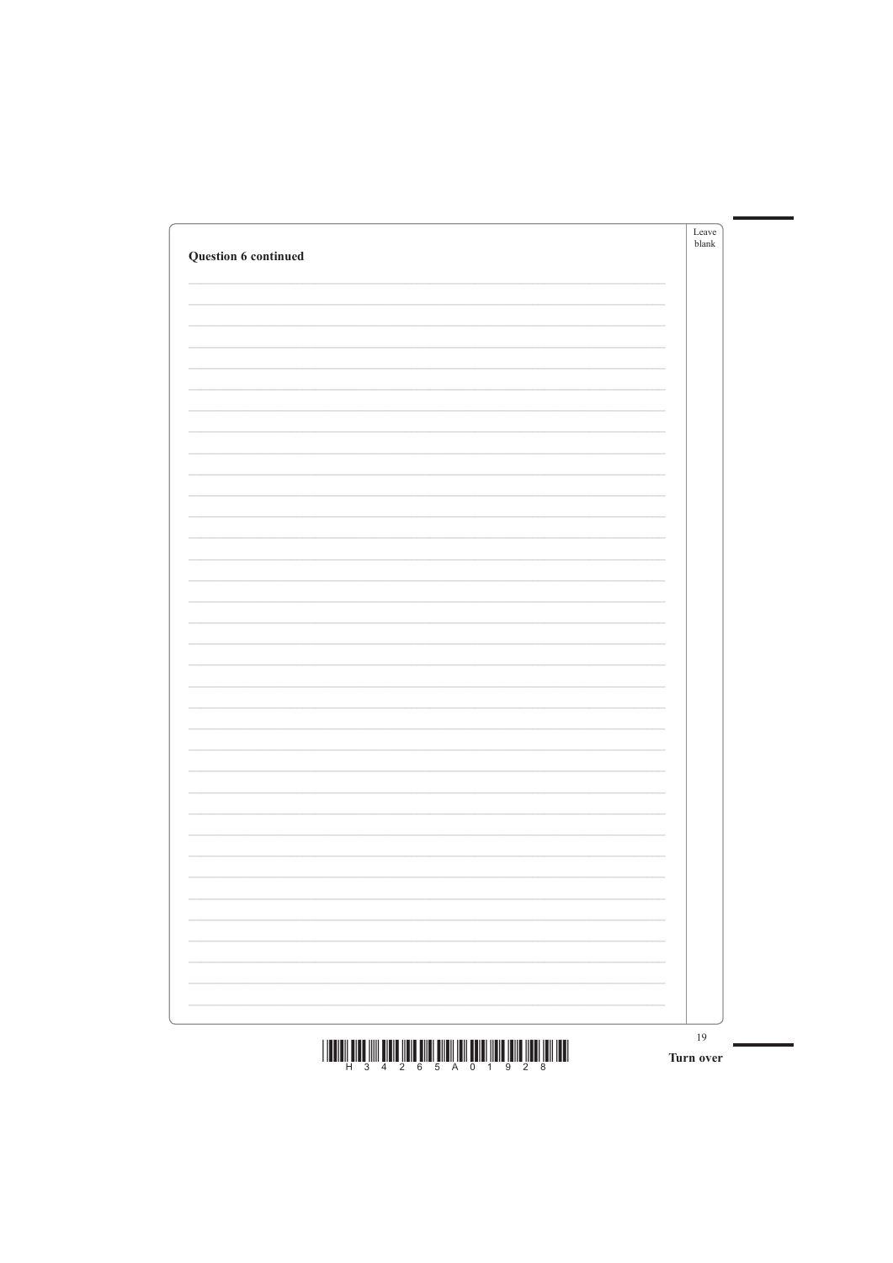| Question 6 continued |   | Leave<br>blank |
|----------------------|---|----------------|
|                      |   |                |
|                      |   |                |
|                      |   |                |
|                      |   |                |
|                      |   |                |
|                      |   |                |
|                      |   |                |
|                      |   |                |
|                      |   |                |
|                      |   |                |
|                      |   |                |
|                      |   |                |
|                      |   |                |
|                      |   |                |
|                      |   |                |
|                      |   |                |
|                      |   |                |
|                      |   |                |
|                      | - |                |
|                      |   |                |

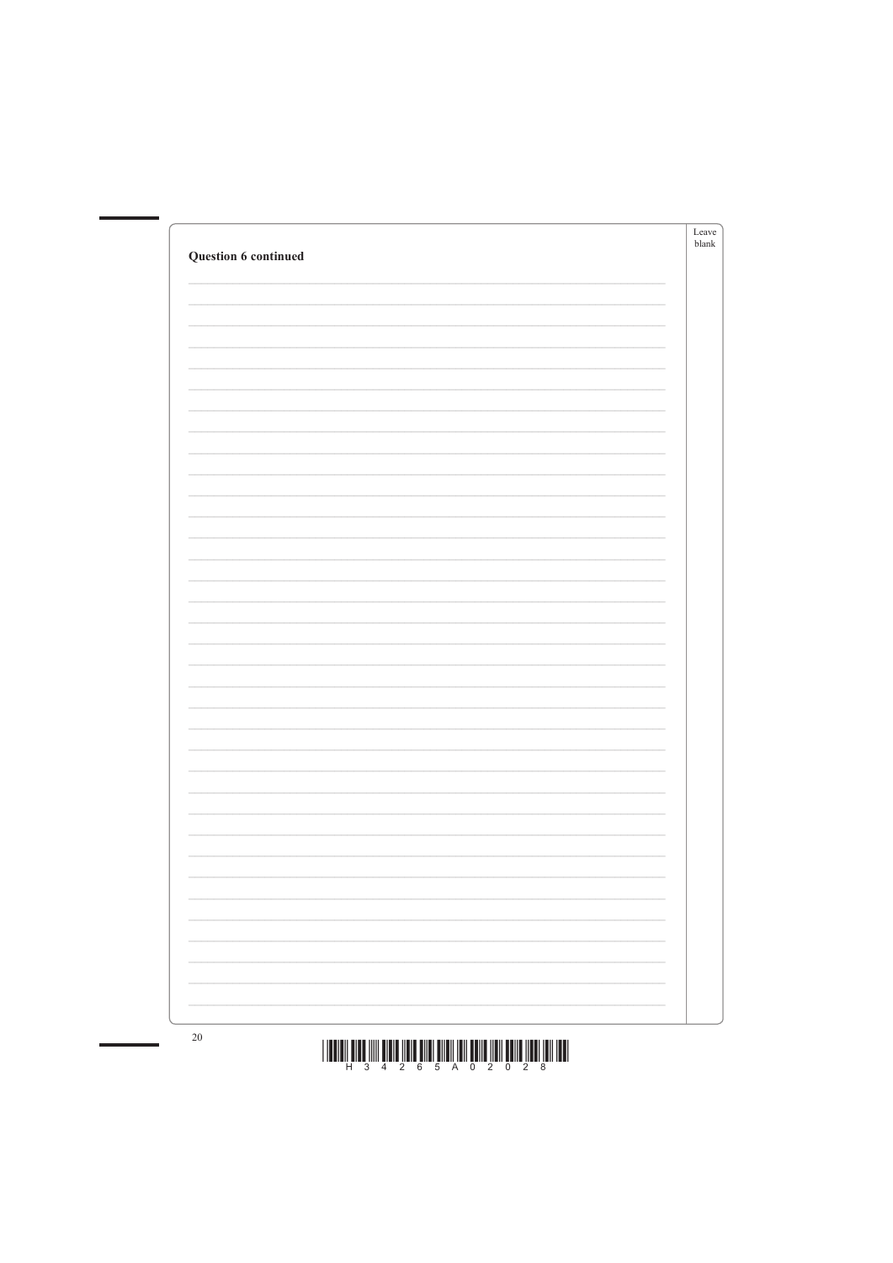| Question 6 continued | Leave<br>blank |
|----------------------|----------------|
|                      |                |
|                      |                |
|                      |                |
|                      |                |
|                      |                |
|                      |                |
|                      |                |
|                      |                |
|                      |                |
|                      |                |
|                      |                |
|                      |                |
|                      |                |
|                      |                |
|                      |                |
|                      |                |
|                      |                |
|                      |                |
|                      |                |
|                      |                |
|                      |                |
|                      |                |
|                      |                |
|                      |                |



 $20\,$ 

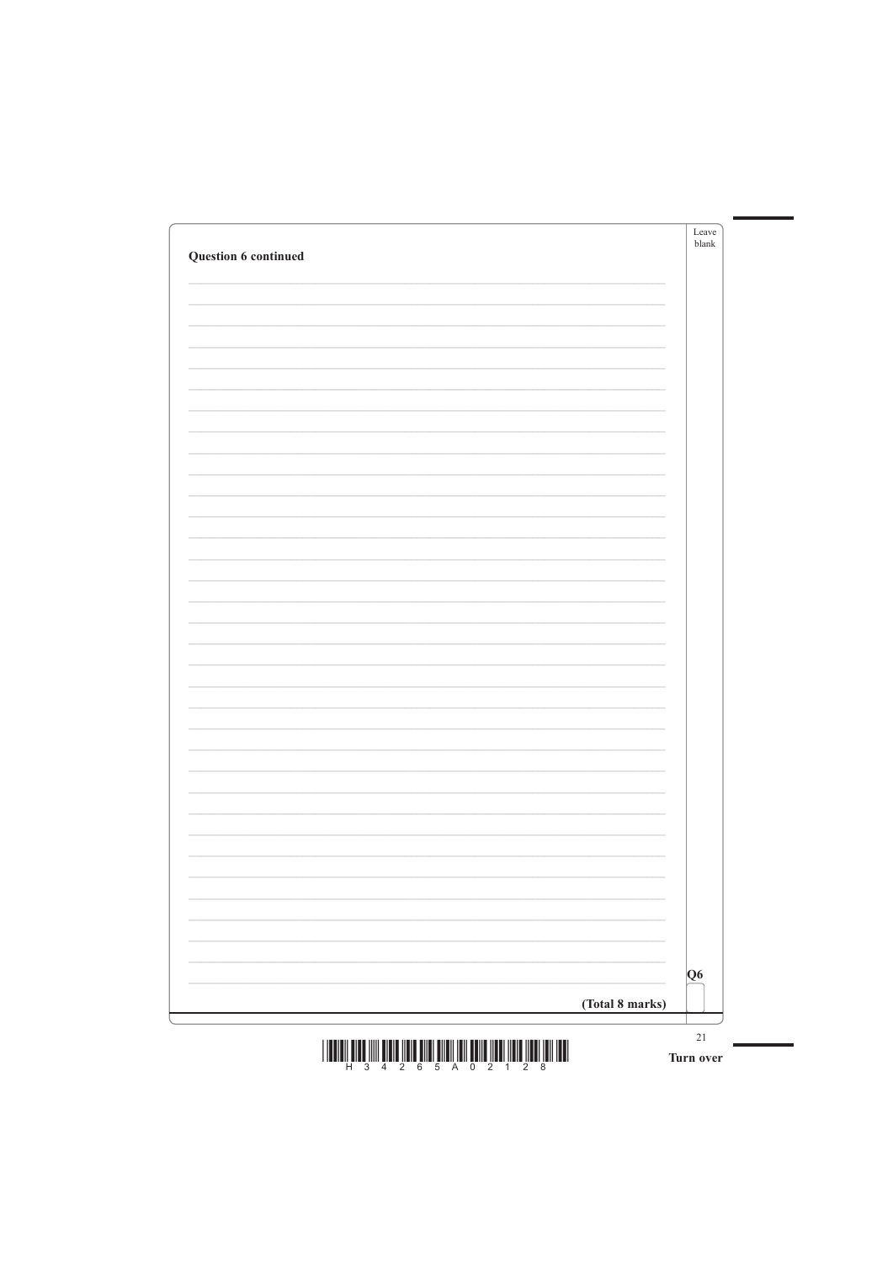| Question 6 continued |   | Leave<br>blank |
|----------------------|---|----------------|
|                      |   |                |
|                      |   |                |
|                      |   |                |
|                      |   |                |
|                      |   |                |
|                      |   |                |
|                      |   |                |
|                      |   |                |
|                      |   |                |
|                      |   |                |
|                      |   |                |
|                      |   |                |
|                      |   |                |
|                      |   |                |
|                      |   |                |
|                      |   |                |
|                      |   |                |
|                      |   |                |
|                      | - |                |
|                      |   |                |

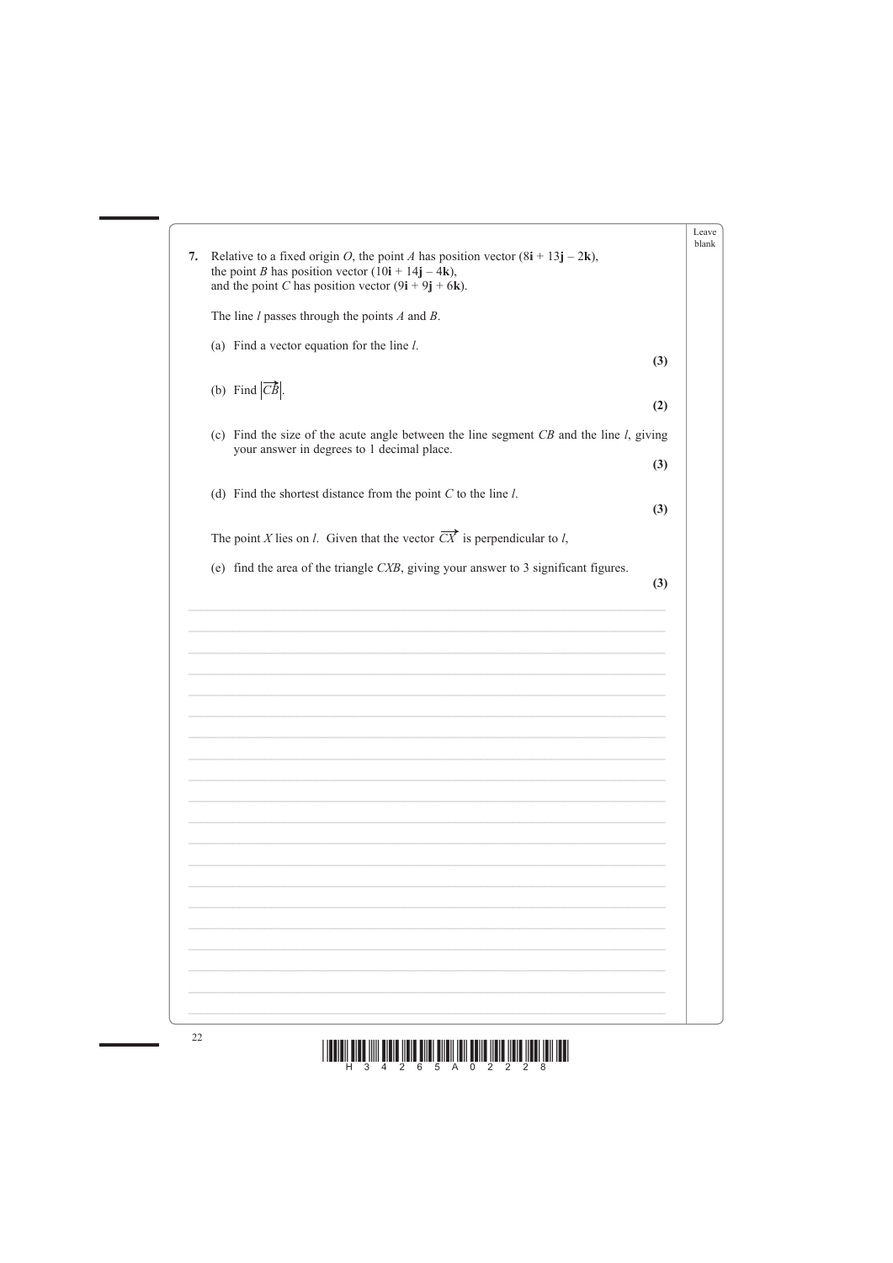| 7. | Relative to a fixed origin O, the point A has position vector $(8i + 13j - 2k)$ ,<br>the point <i>B</i> has position vector $(10i + 14j - 4k)$ ,<br>and the point C has position vector $(9i + 9j + 6k)$ . | Leave<br>blank |
|----|------------------------------------------------------------------------------------------------------------------------------------------------------------------------------------------------------------|----------------|
|    | The line $l$ passes through the points $A$ and $B$ .                                                                                                                                                       |                |
|    | (a) Find a vector equation for the line $l$ .<br>(3)                                                                                                                                                       |                |
|    | (b) Find $ \overrightarrow{CB} $<br>(2)                                                                                                                                                                    |                |
|    | (c) Find the size of the acute angle between the line segment $CB$ and the line $l$ , giving<br>your answer in degrees to 1 decimal place.<br>(3)                                                          |                |
|    | (d) Find the shortest distance from the point $C$ to the line $l$ .<br>(3)                                                                                                                                 |                |
|    | The point X lies on <i>l</i> . Given that the vector $\overrightarrow{CX}$ is perpendicular to <i>l</i> ,                                                                                                  |                |
|    | (e) find the area of the triangle $CXB$ , giving your answer to 3 significant figures.<br>(3)                                                                                                              |                |
|    |                                                                                                                                                                                                            |                |
|    |                                                                                                                                                                                                            |                |
|    |                                                                                                                                                                                                            |                |
|    |                                                                                                                                                                                                            |                |
|    |                                                                                                                                                                                                            |                |
|    |                                                                                                                                                                                                            |                |
|    |                                                                                                                                                                                                            |                |
|    |                                                                                                                                                                                                            |                |
|    |                                                                                                                                                                                                            |                |



 $\overline{\phantom{a}}$ 

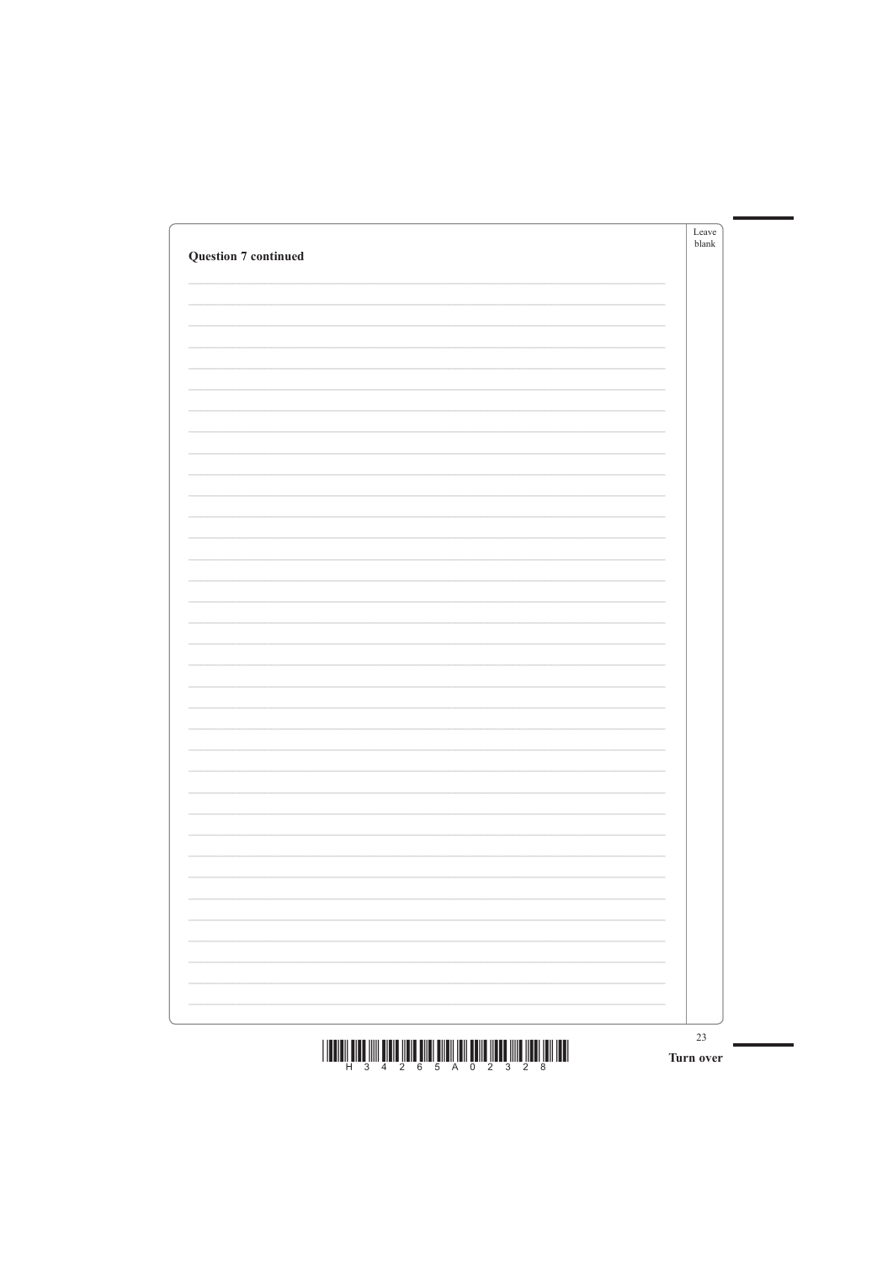| Leave<br>blank | <b>Question 7 continued</b> |
|----------------|-----------------------------|
|                |                             |
|                |                             |
|                |                             |
|                |                             |
|                |                             |
|                |                             |
|                |                             |
|                |                             |
|                |                             |
|                |                             |
|                |                             |
|                |                             |
|                |                             |
|                |                             |
|                |                             |
|                |                             |
|                |                             |
|                |                             |
|                |                             |
|                |                             |

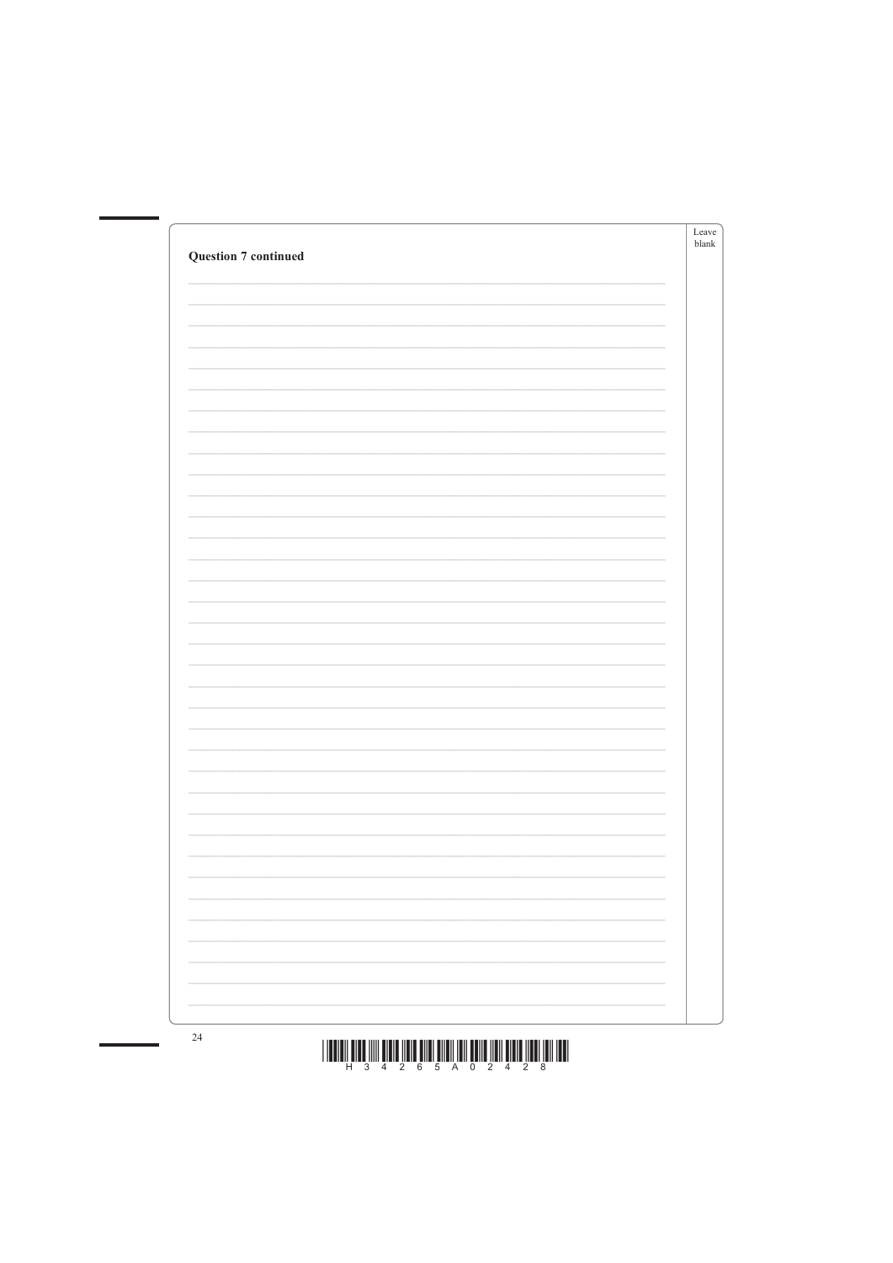| <b>Question 7 continued</b> | Leave<br>${\sf blank}$ |
|-----------------------------|------------------------|
|                             |                        |
|                             |                        |
|                             |                        |
|                             |                        |
|                             |                        |
|                             |                        |
|                             |                        |
|                             |                        |
|                             |                        |
|                             |                        |
|                             |                        |
|                             |                        |
|                             |                        |
|                             |                        |
|                             |                        |
|                             |                        |
|                             |                        |
|                             |                        |
|                             |                        |
|                             |                        |
|                             |                        |
|                             |                        |



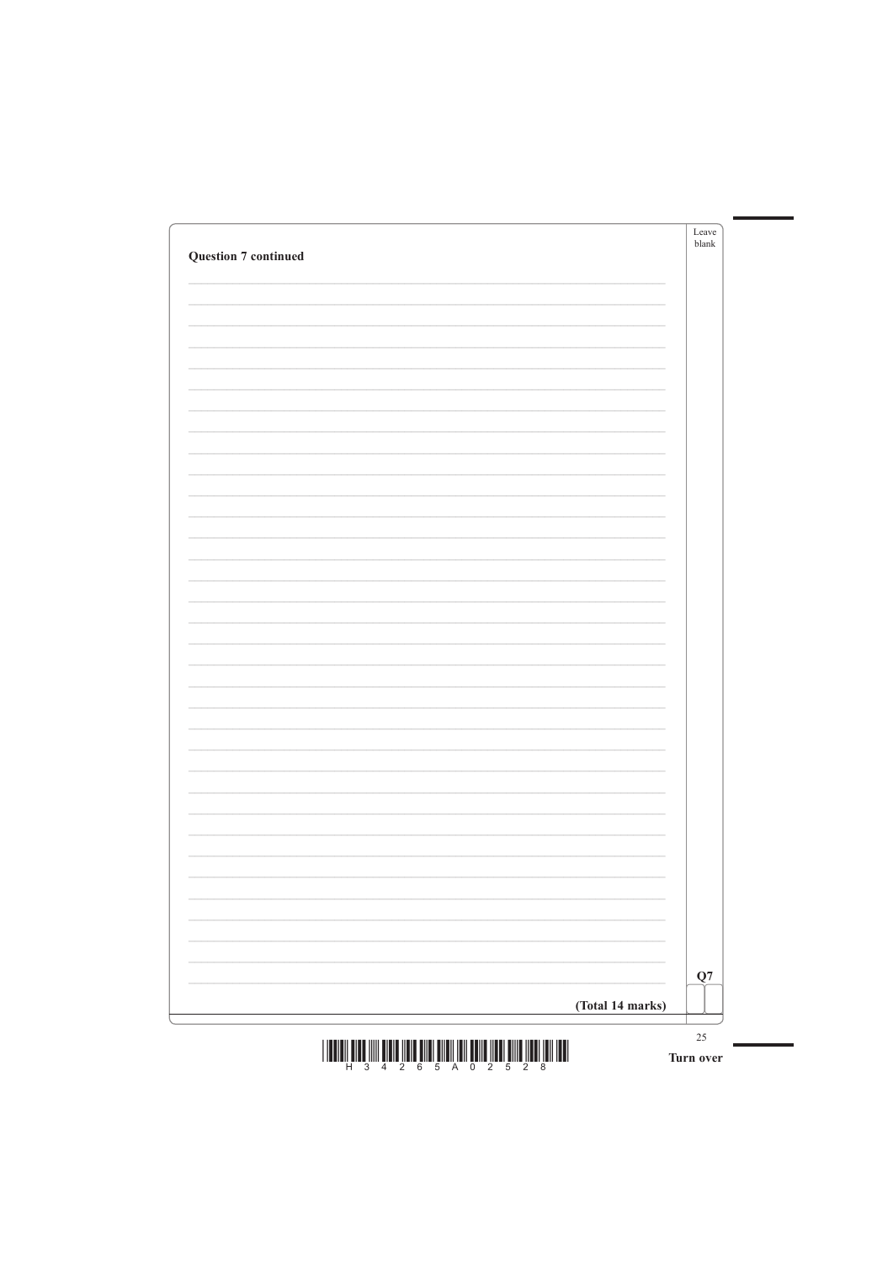| <b>Question 7 continued</b> | Leave<br>blank           |
|-----------------------------|--------------------------|
|                             |                          |
|                             |                          |
|                             |                          |
|                             |                          |
|                             |                          |
|                             |                          |
|                             |                          |
|                             |                          |
|                             |                          |
|                             |                          |
|                             |                          |
|                             |                          |
|                             |                          |
|                             |                          |
|                             |                          |
|                             |                          |
|                             |                          |
|                             |                          |
|                             |                          |
|                             |                          |
|                             |                          |
|                             |                          |
|                             | $\overline{\phantom{a}}$ |



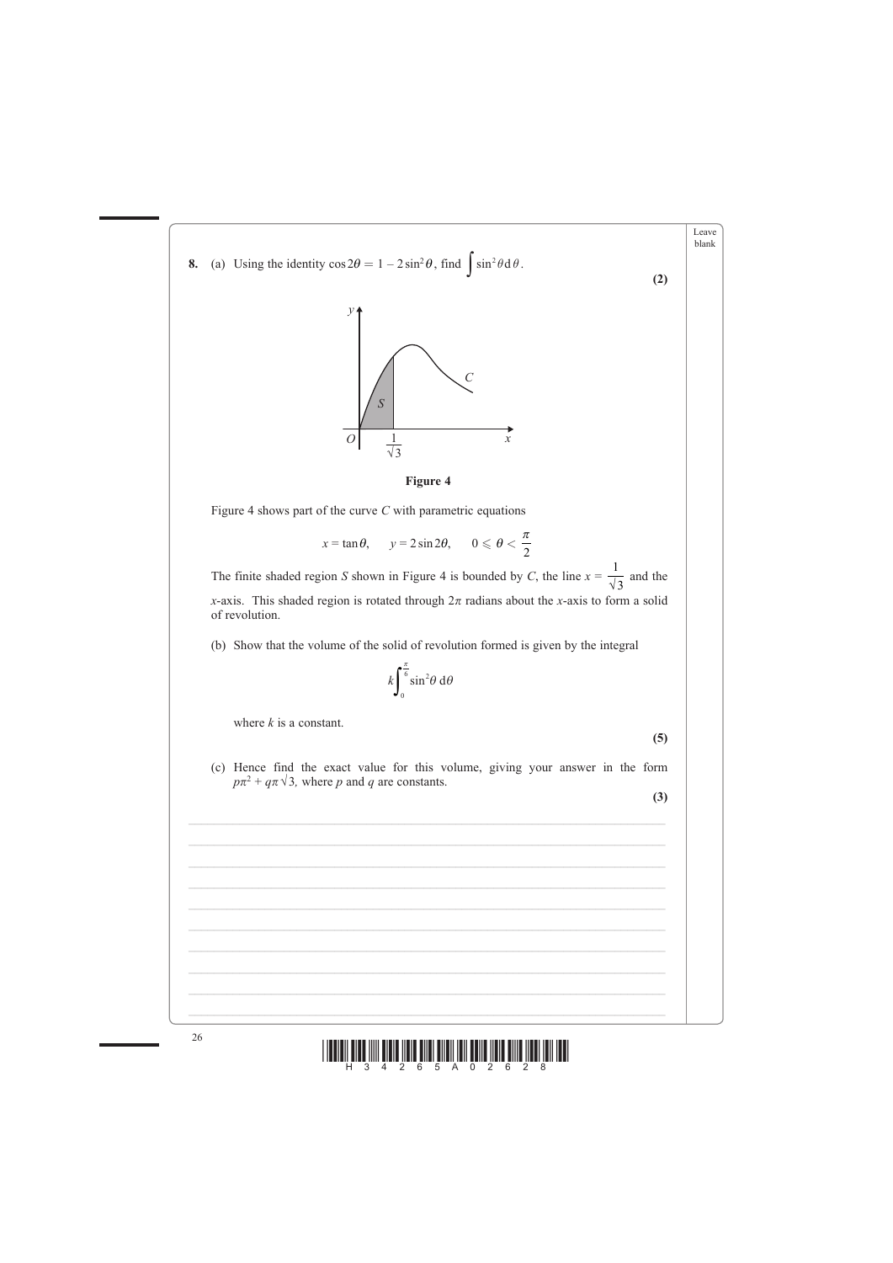





 $\mathcal{L}_\text{max} = \mathcal{L}_\text{max} = \mathcal{L}_\text{max} = \mathcal{L}_\text{max} = \mathcal{L}_\text{max} = \mathcal{L}_\text{max} = \mathcal{L}_\text{max} = \mathcal{L}_\text{max} = \mathcal{L}_\text{max} = \mathcal{L}_\text{max} = \mathcal{L}_\text{max} = \mathcal{L}_\text{max} = \mathcal{L}_\text{max} = \mathcal{L}_\text{max} = \mathcal{L}_\text{max} = \mathcal{L}_\text{max} = \mathcal{L}_\text{max} = \mathcal{L}_\text{max} = \mathcal{$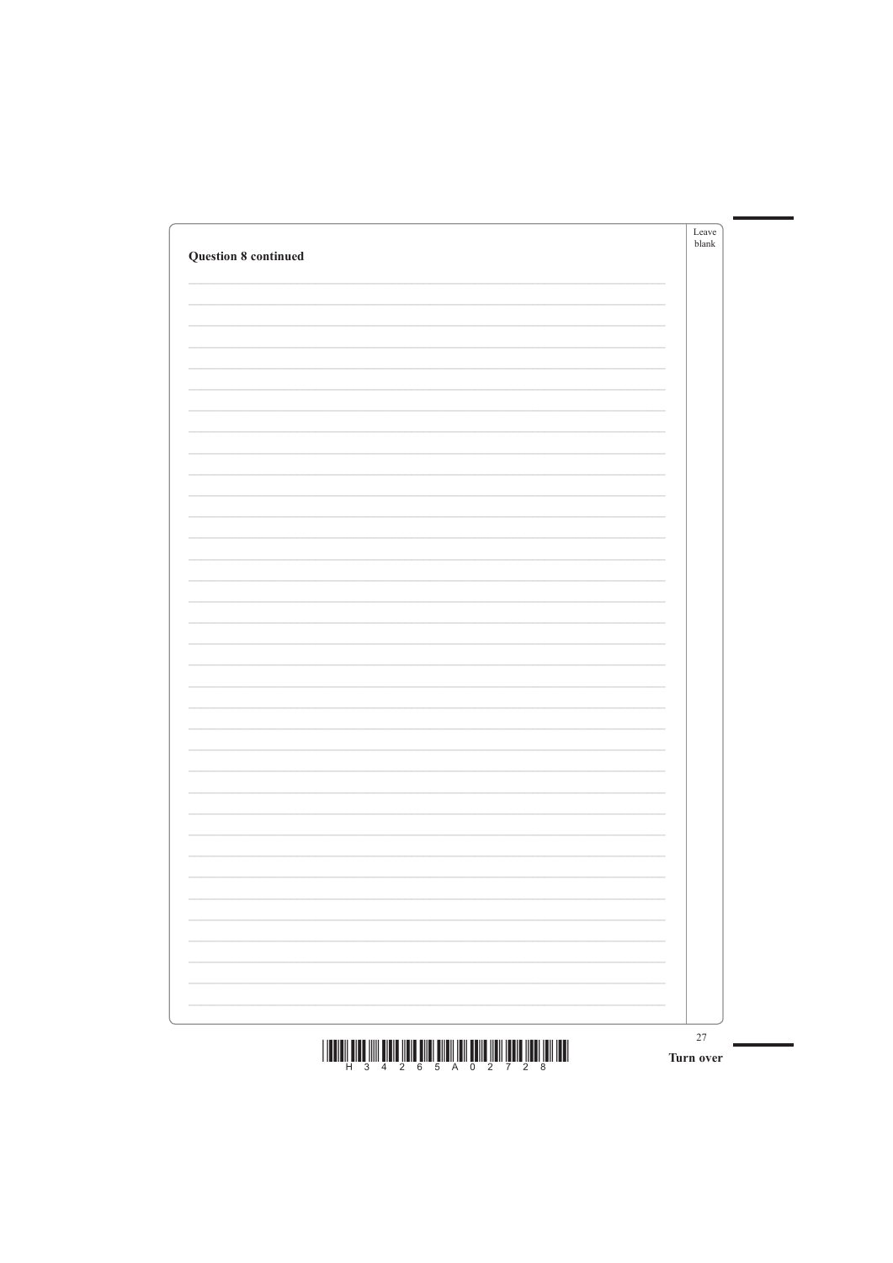| <b>Question 8 continued</b> | Leave<br>blank |
|-----------------------------|----------------|
|                             |                |
|                             |                |
|                             |                |
|                             |                |
|                             |                |
|                             |                |
|                             |                |
|                             |                |
|                             |                |
|                             |                |
|                             |                |
|                             |                |
|                             |                |
|                             |                |
|                             |                |
|                             |                |
|                             |                |
|                             |                |
|                             |                |
|                             |                |
|                             |                |
|                             |                |